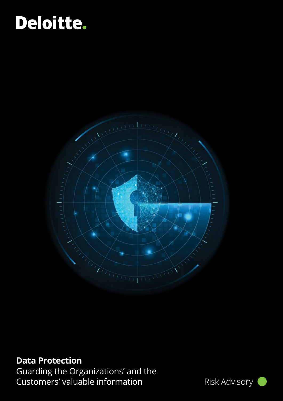# Deloitte.



## **Data Protection**

Guarding the Organizations' and the Customers' valuable information Risk Advisory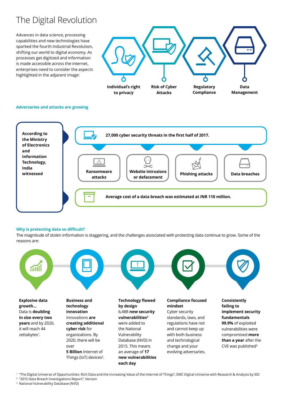## The Digital Revolution

Advances in data science, processing capabilities and new technologies have sparked the fourth Industrial Revolution, shifting our world to digital economy. As processes get digitized and information is made accessible across the internet, enterprises need to consider the aspects highlighted in the adjacent image:



### **Adversaries and attacks are growing**



### **Why is protecting data so difficult?**

The magnitude of stolen information is staggering, and the challenges associated with protecting data continue to grow. Some of the reasons are:



1 "The Digital Universe of Opportunities: Rich Data and the Increasing Value of the Internet of Things", EMC Digital Universe with Research & Analysis by IDC

2 "2015 Data Breach Investigations Report", Verizon

3 National Vulnerability Database (NVD)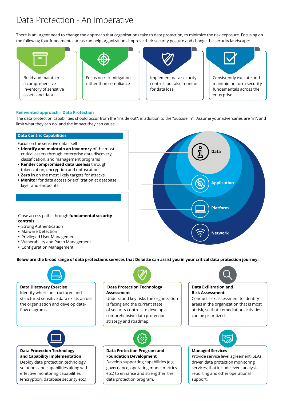## Data Protection - An Imperative

There is an urgent need to change the approach that organizations take to data protection, to minimize the risk exposure. Focusing on the following four fundamental areas can help organizations improve their security posture and change the security landscape:



### **Reinvented approach – Data Protection**

The data protection capabilities should occur from the "inside out", in addition to the "outside in". Assume your adversaries are "in", and limit what they can do, and the impact they can cause.

### **Data Centric Capabilities**

Focus on the sensitive data itself

- **• Identify and maintain an inventory** of the most critical assets through enterprise data discovery, classification, and management programs
- **• Render compromised data useless** through tokenization, encryption and obfuscation
- **• Zero in** on the most likely targets for attacks
- **• Monitor** for data access or exfiltration at database layer and endpoints



Close access paths through **fundamental security controls**

- **•** Strong Authentication
- **•** Malware Detection
- **•** Privileged User Management
- **•** Vulnerability and Patch Management
- **•** Configuration Management

**Below are the broad range of data protections services that Deloitte can assist you in your critical data protection journey .**



### **Data Discovery Exercise**

Identify where unstructured and structured sensitive data exists across the organization and develop dataflow diagrams.



### **Data Protection Technology and Capability Implementation**

Deploy data protection technology solutions and capabilities along with effective monitoring capabilities (encryption, database security etc.)

## **Data Protection Technology**

### **Assessment**

Understand key risks the organization is facing and the current state of security controls to develop a comprehensive data protection strategy and roadmap.



**Data Protection Program and Foundation Development**

Develop supporting capabilities (e.g., governance, operating model,metrics etc.) to enhance and strengthen the data protection program.



### **Data Exfiltration and Risk Assessment**

Conduct risk assessment to identify areas in the organization that is most at risk, so that remediation activities can be prioritized.



### **Managed Services**

Provide service level agreement (SLA) driven data protection monitoring services, that include event analysis, reporting and other operational support.